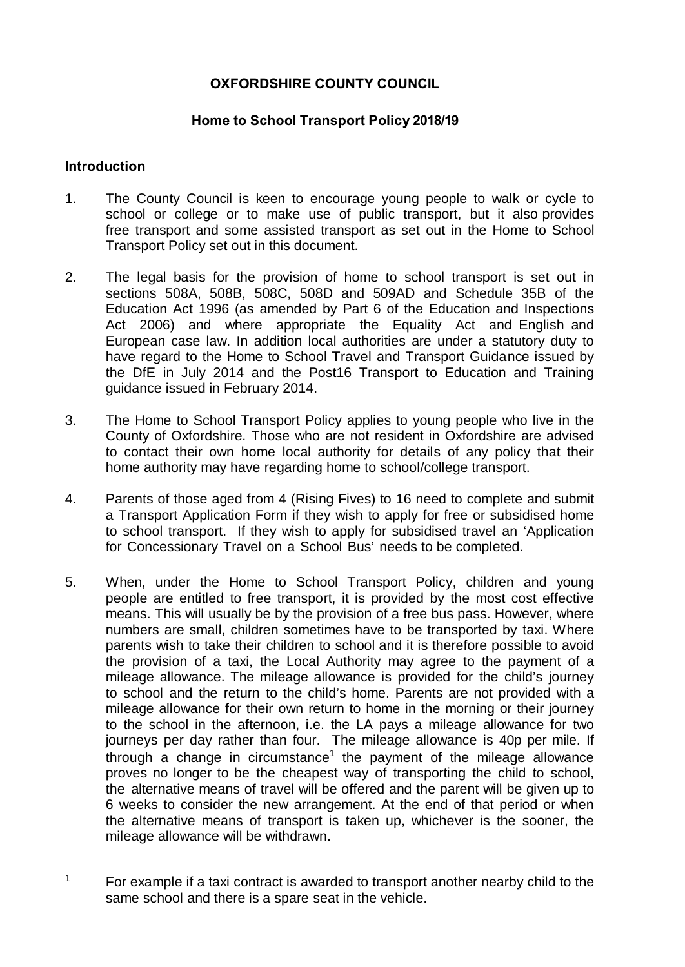## **OXFORDSHIRE COUNTY COUNCIL**

## **Home to School Transport Policy 2018/19**

#### **Introduction**

- 1. The County Council is keen to encourage young people to walk or cycle to school or college or to make use of public transport, but it also provides free transport and some assisted transport as set out in the Home to School Transport Policy set out in this document.
- 2. The legal basis for the provision of home to school transport is set out in sections 508A, 508B, 508C, 508D and 509AD and Schedule 35B of the Education Act 1996 (as amended by Part 6 of the Education and Inspections Act 2006) and where appropriate the Equality Act and English and European case law. In addition local authorities are under a statutory duty to have regard to the Home to School Travel and Transport Guidance issued by the DfE in July 2014 and the Post16 Transport to Education and Training guidance issued in February 2014.
- 3. The Home to School Transport Policy applies to young people who live in the County of Oxfordshire. Those who are not resident in Oxfordshire are advised to contact their own home local authority for details of any policy that their home authority may have regarding home to school/college transport.
- 4. Parents of those aged from 4 (Rising Fives) to 16 need to complete and submit a Transport Application Form if they wish to apply for free or subsidised home to school transport. If they wish to apply for subsidised travel an 'Application for Concessionary Travel on a School Bus' needs to be completed.
- 5. When, under the Home to School Transport Policy, children and young people are entitled to free transport, it is provided by the most cost effective means. This will usually be by the provision of a free bus pass. However, where numbers are small, children sometimes have to be transported by taxi. Where parents wish to take their children to school and it is therefore possible to avoid the provision of a taxi, the Local Authority may agree to the payment of a mileage allowance. The mileage allowance is provided for the child's journey to school and the return to the child's home. Parents are not provided with a mileage allowance for their own return to home in the morning or their journey to the school in the afternoon, i.e. the LA pays a mileage allowance for two journeys per day rather than four. The mileage allowance is 40p per mile. If through a change in circumstance<sup>1</sup> the payment of the mileage allowance proves no longer to be the cheapest way of transporting the child to school, the alternative means of travel will be offered and the parent will be given up to 6 weeks to consider the new arrangement. At the end of that period or when the alternative means of transport is taken up, whichever is the sooner, the mileage allowance will be withdrawn.

 $1$  For example if a taxi contract is awarded to transport another nearby child to the same school and there is a spare seat in the vehicle.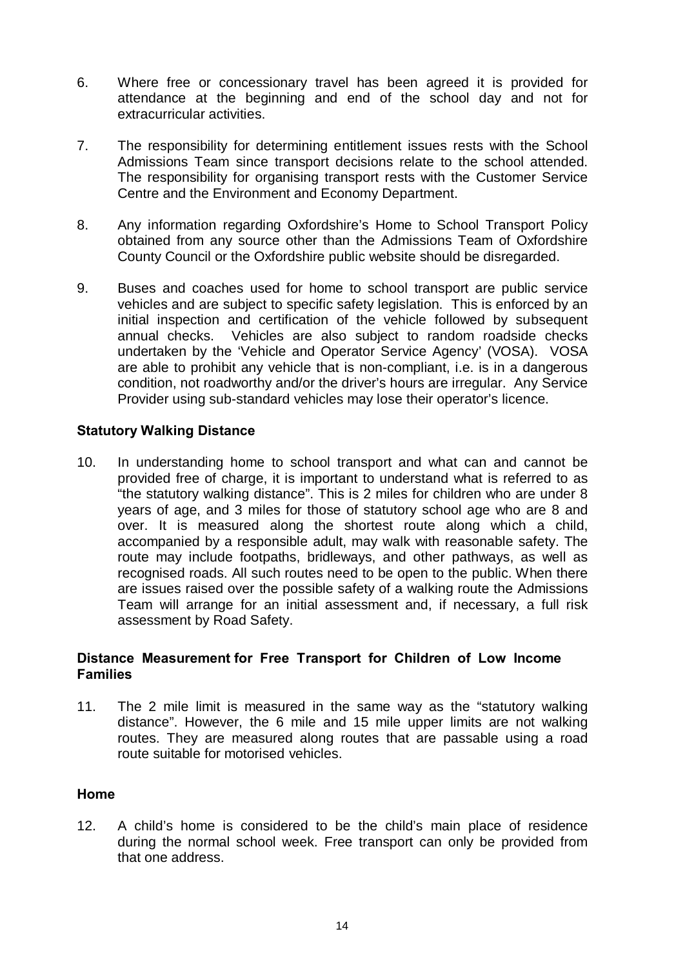- 6. Where free or concessionary travel has been agreed it is provided for attendance at the beginning and end of the school day and not for extracurricular activities.
- 7. The responsibility for determining entitlement issues rests with the School Admissions Team since transport decisions relate to the school attended. The responsibility for organising transport rests with the Customer Service Centre and the Environment and Economy Department.
- 8. Any information regarding Oxfordshire's Home to School Transport Policy obtained from any source other than the Admissions Team of Oxfordshire County Council or the Oxfordshire public website should be disregarded.
- 9. Buses and coaches used for home to school transport are public service vehicles and are subject to specific safety legislation. This is enforced by an initial inspection and certification of the vehicle followed by subsequent annual checks. Vehicles are also subject to random roadside checks undertaken by the 'Vehicle and Operator Service Agency' (VOSA). VOSA are able to prohibit any vehicle that is non-compliant, i.e. is in a dangerous condition, not roadworthy and/or the driver's hours are irregular. Any Service Provider using sub-standard vehicles may lose their operator's licence.

### **Statutory Walking Distance**

10. In understanding home to school transport and what can and cannot be provided free of charge, it is important to understand what is referred to as "the statutory walking distance". This is 2 miles for children who are under 8 years of age, and 3 miles for those of statutory school age who are 8 and over. It is measured along the shortest route along which a child, accompanied by a responsible adult, may walk with reasonable safety. The route may include footpaths, bridleways, and other pathways, as well as recognised roads. All such routes need to be open to the public. When there are issues raised over the possible safety of a walking route the Admissions Team will arrange for an initial assessment and, if necessary, a full risk assessment by Road Safety.

#### **Distance Measurement for Free Transport for Children of Low Income Families**

11. The 2 mile limit is measured in the same way as the "statutory walking distance". However, the 6 mile and 15 mile upper limits are not walking routes. They are measured along routes that are passable using a road route suitable for motorised vehicles.

#### **Home**

12. A child's home is considered to be the child's main place of residence during the normal school week. Free transport can only be provided from that one address.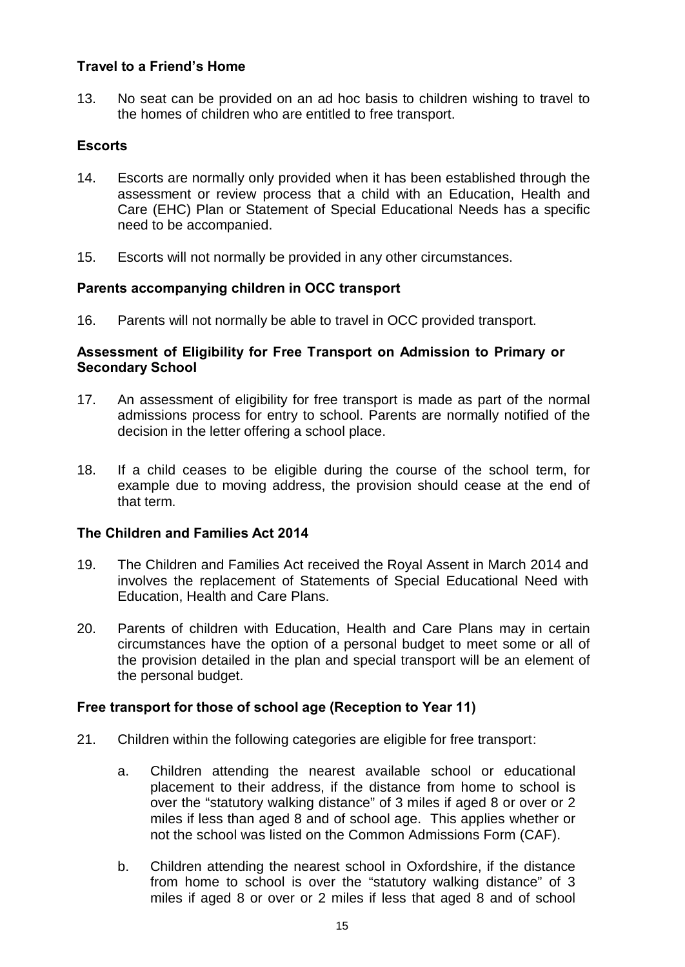## **Travel to a Friend's Home**

13. No seat can be provided on an ad hoc basis to children wishing to travel to the homes of children who are entitled to free transport.

## **Escorts**

- 14. Escorts are normally only provided when it has been established through the assessment or review process that a child with an Education, Health and Care (EHC) Plan or Statement of Special Educational Needs has a specific need to be accompanied.
- 15. Escorts will not normally be provided in any other circumstances.

### **Parents accompanying children in OCC transport**

16. Parents will not normally be able to travel in OCC provided transport.

### **Assessment of Eligibility for Free Transport on Admission to Primary or Secondary School**

- 17. An assessment of eligibility for free transport is made as part of the normal admissions process for entry to school. Parents are normally notified of the decision in the letter offering a school place.
- 18. If a child ceases to be eligible during the course of the school term, for example due to moving address, the provision should cease at the end of that term.

### **The Children and Families Act 2014**

- 19. The Children and Families Act received the Royal Assent in March 2014 and involves the replacement of Statements of Special Educational Need with Education, Health and Care Plans.
- 20. Parents of children with Education, Health and Care Plans may in certain circumstances have the option of a personal budget to meet some or all of the provision detailed in the plan and special transport will be an element of the personal budget.

### **Free transport for those of school age (Reception to Year 11)**

- 21. Children within the following categories are eligible for free transport:
	- a. Children attending the nearest available school or educational placement to their address, if the distance from home to school is over the "statutory walking distance" of 3 miles if aged 8 or over or 2 miles if less than aged 8 and of school age. This applies whether or not the school was listed on the Common Admissions Form (CAF).
	- b. Children attending the nearest school in Oxfordshire, if the distance from home to school is over the "statutory walking distance" of 3 miles if aged 8 or over or 2 miles if less that aged 8 and of school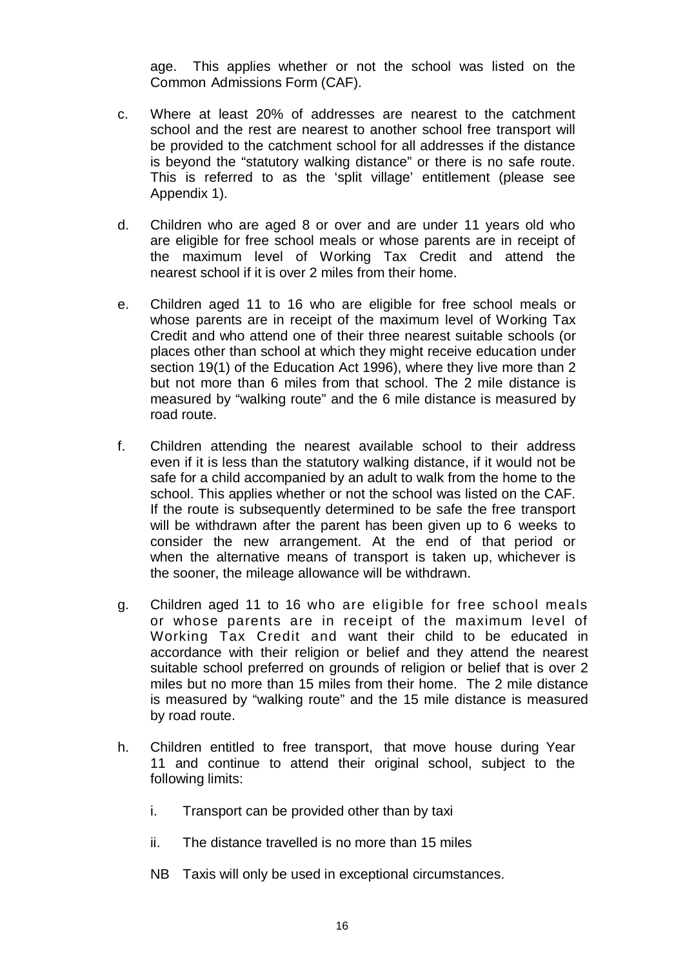age. This applies whether or not the school was listed on the Common Admissions Form (CAF).

- c. Where at least 20% of addresses are nearest to the catchment school and the rest are nearest to another school free transport will be provided to the catchment school for all addresses if the distance is beyond the "statutory walking distance" or there is no safe route. This is referred to as the 'split village' entitlement (please see Appendix 1).
- d. Children who are aged 8 or over and are under 11 years old who are eligible for free school meals or whose parents are in receipt of the maximum level of Working Tax Credit and attend the nearest school if it is over 2 miles from their home.
- e. Children aged 11 to 16 who are eligible for free school meals or whose parents are in receipt of the maximum level of Working Tax Credit and who attend one of their three nearest suitable schools (or places other than school at which they might receive education under section 19(1) of the Education Act 1996), where they live more than 2 but not more than 6 miles from that school. The 2 mile distance is measured by "walking route" and the 6 mile distance is measured by road route.
- f. Children attending the nearest available school to their address even if it is less than the statutory walking distance, if it would not be safe for a child accompanied by an adult to walk from the home to the school. This applies whether or not the school was listed on the CAF. If the route is subsequently determined to be safe the free transport will be withdrawn after the parent has been given up to 6 weeks to consider the new arrangement. At the end of that period or when the alternative means of transport is taken up, whichever is the sooner, the mileage allowance will be withdrawn.
- g. Children aged 11 to 16 who are eligible for free school meals or whose parents are in receipt of the maximum level of Working Tax Credit and want their child to be educated in accordance with their religion or belief and they attend the nearest suitable school preferred on grounds of religion or belief that is over 2 miles but no more than 15 miles from their home. The 2 mile distance is measured by "walking route" and the 15 mile distance is measured by road route.
- h. Children entitled to free transport, that move house during Year 11 and continue to attend their original school, subject to the following limits:
	- i. Transport can be provided other than by taxi
	- ii. The distance travelled is no more than 15 miles
	- NB Taxis will only be used in exceptional circumstances.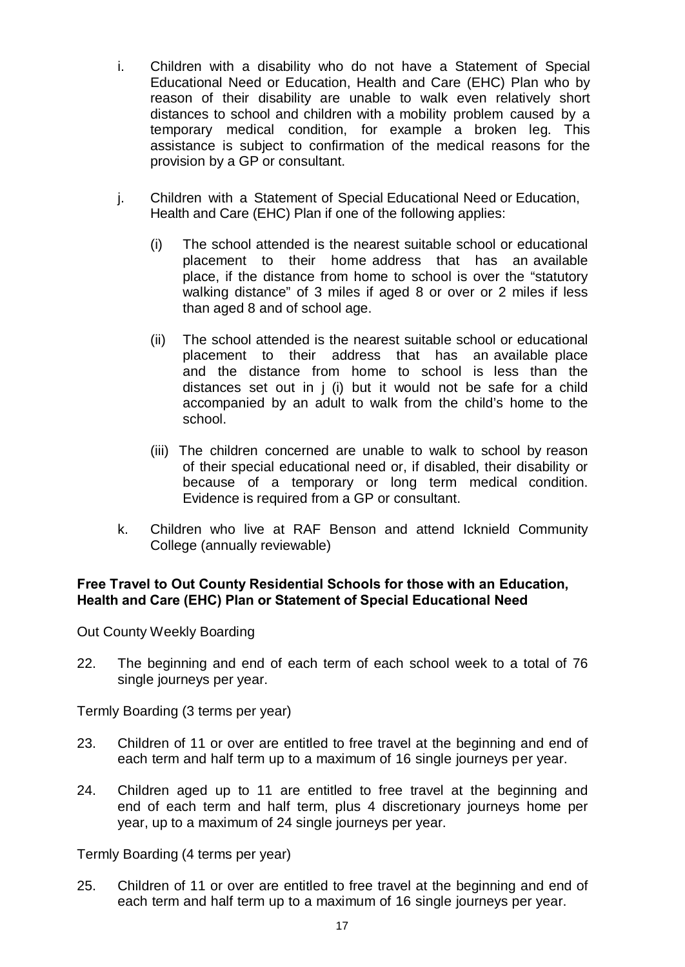- i. Children with a disability who do not have a Statement of Special Educational Need or Education, Health and Care (EHC) Plan who by reason of their disability are unable to walk even relatively short distances to school and children with a mobility problem caused by a temporary medical condition, for example a broken leg. This assistance is subject to confirmation of the medical reasons for the provision by a GP or consultant.
- j. Children with a Statement of Special Educational Need or Education, Health and Care (EHC) Plan if one of the following applies:
	- (i) The school attended is the nearest suitable school or educational placement to their home address that has an available place, if the distance from home to school is over the "statutory walking distance" of 3 miles if aged 8 or over or 2 miles if less than aged 8 and of school age.
	- (ii) The school attended is the nearest suitable school or educational placement to their address that has an available place and the distance from home to school is less than the distances set out in j (i) but it would not be safe for a child accompanied by an adult to walk from the child's home to the school.
	- (iii) The children concerned are unable to walk to school by reason of their special educational need or, if disabled, their disability or because of a temporary or long term medical condition. Evidence is required from a GP or consultant.
- k. Children who live at RAF Benson and attend Icknield Community College (annually reviewable)

### **Free Travel to Out County Residential Schools for those with an Education, Health and Care (EHC) Plan or Statement of Special Educational Need**

Out County Weekly Boarding

22. The beginning and end of each term of each school week to a total of 76 single journeys per year.

Termly Boarding (3 terms per year)

- 23. Children of 11 or over are entitled to free travel at the beginning and end of each term and half term up to a maximum of 16 single journeys per year.
- 24. Children aged up to 11 are entitled to free travel at the beginning and end of each term and half term, plus 4 discretionary journeys home per year, up to a maximum of 24 single journeys per year.

Termly Boarding (4 terms per year)

25. Children of 11 or over are entitled to free travel at the beginning and end of each term and half term up to a maximum of 16 single journeys per year.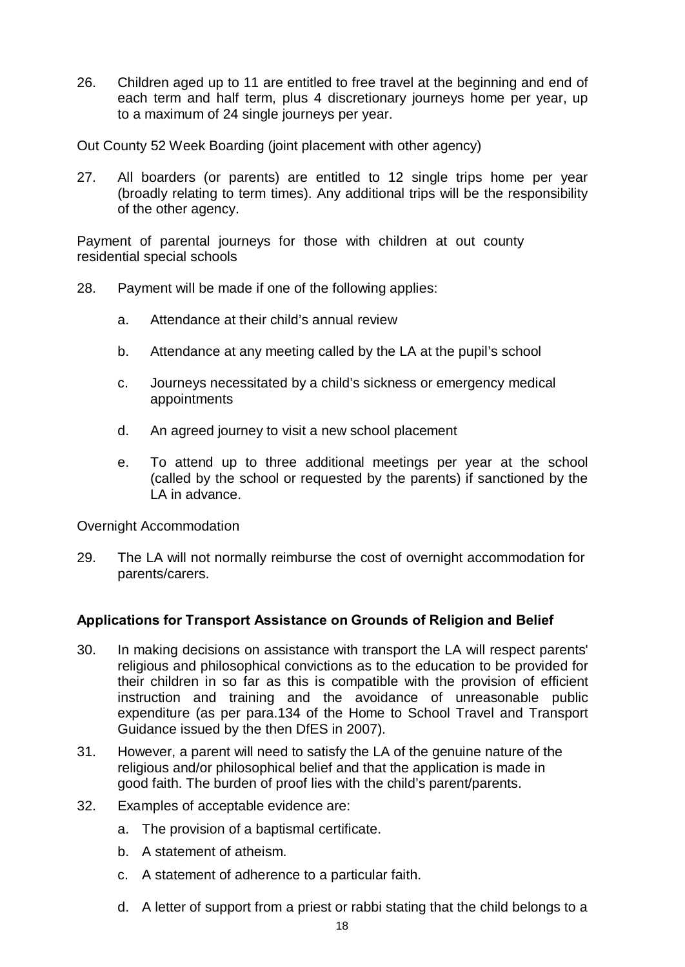26. Children aged up to 11 are entitled to free travel at the beginning and end of each term and half term, plus 4 discretionary journeys home per year, up to a maximum of 24 single journeys per year.

Out County 52 Week Boarding (joint placement with other agency)

27. All boarders (or parents) are entitled to 12 single trips home per year (broadly relating to term times). Any additional trips will be the responsibility of the other agency.

Payment of parental journeys for those with children at out county residential special schools

- 28. Payment will be made if one of the following applies:
	- a. Attendance at their child's annual review
	- b. Attendance at any meeting called by the LA at the pupil's school
	- c. Journeys necessitated by a child's sickness or emergency medical appointments
	- d. An agreed journey to visit a new school placement
	- e. To attend up to three additional meetings per year at the school (called by the school or requested by the parents) if sanctioned by the LA in advance.

Overnight Accommodation

29. The LA will not normally reimburse the cost of overnight accommodation for parents/carers.

## **Applications for Transport Assistance on Grounds of Religion and Belief**

- 30. In making decisions on assistance with transport the LA will respect parents' religious and philosophical convictions as to the education to be provided for their children in so far as this is compatible with the provision of efficient instruction and training and the avoidance of unreasonable public expenditure (as per para.134 of the Home to School Travel and Transport Guidance issued by the then DfES in 2007).
- 31. However, a parent will need to satisfy the LA of the genuine nature of the religious and/or philosophical belief and that the application is made in good faith. The burden of proof lies with the child's parent/parents.
- 32. Examples of acceptable evidence are:
	- a. The provision of a baptismal certificate.
	- b. A statement of atheism.
	- c. A statement of adherence to a particular faith.
	- d. A letter of support from a priest or rabbi stating that the child belongs to a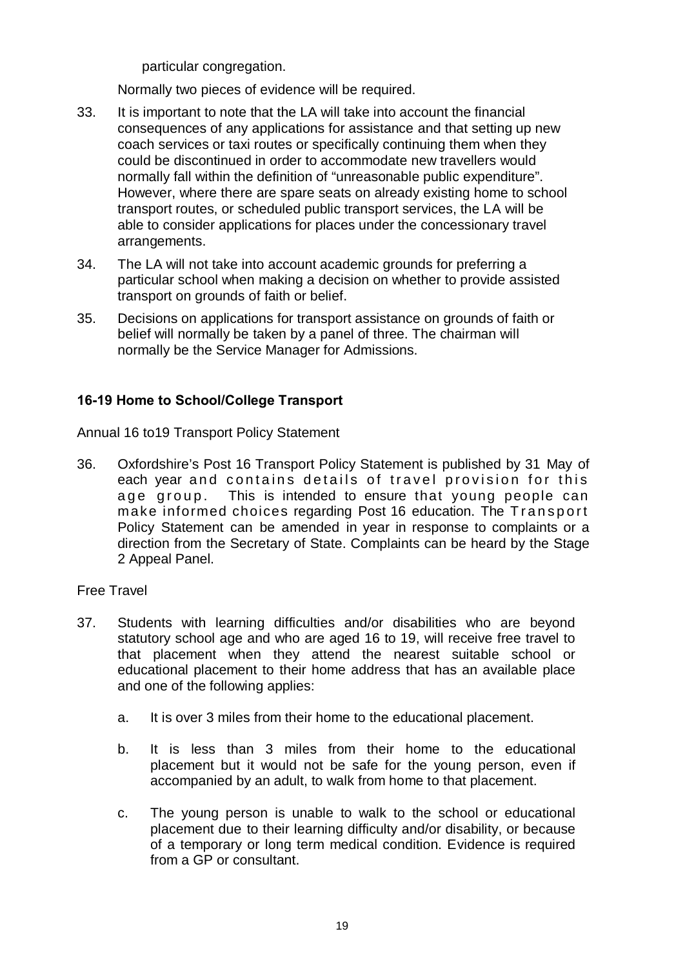particular congregation.

Normally two pieces of evidence will be required.

- 33. It is important to note that the LA will take into account the financial consequences of any applications for assistance and that setting up new coach services or taxi routes or specifically continuing them when they could be discontinued in order to accommodate new travellers would normally fall within the definition of "unreasonable public expenditure". However, where there are spare seats on already existing home to school transport routes, or scheduled public transport services, the LA will be able to consider applications for places under the concessionary travel arrangements.
- 34. The LA will not take into account academic grounds for preferring a particular school when making a decision on whether to provide assisted transport on grounds of faith or belief.
- 35. Decisions on applications for transport assistance on grounds of faith or belief will normally be taken by a panel of three. The chairman will normally be the Service Manager for Admissions.

## **16-19 Home to School/College Transport**

Annual 16 to19 Transport Policy Statement

36. Oxfordshire's Post 16 Transport Policy Statement is published by 31 May of each year and contains details of travel provision for this<br>age group. This is intended to ensure that young people can This is intended to ensure that young people can make informed choices regarding Post 16 education. The Transport Policy Statement can be amended in year in response to complaints or a direction from the Secretary of State. Complaints can be heard by the Stage 2 Appeal Panel.

Free Travel

- 37. Students with learning difficulties and/or disabilities who are beyond statutory school age and who are aged 16 to 19, will receive free travel to that placement when they attend the nearest suitable school or educational placement to their home address that has an available place and one of the following applies:
	- a. It is over 3 miles from their home to the educational placement.
	- b. It is less than 3 miles from their home to the educational placement but it would not be safe for the young person, even if accompanied by an adult, to walk from home to that placement.
	- c. The young person is unable to walk to the school or educational placement due to their learning difficulty and/or disability, or because of a temporary or long term medical condition. Evidence is required from a GP or consultant.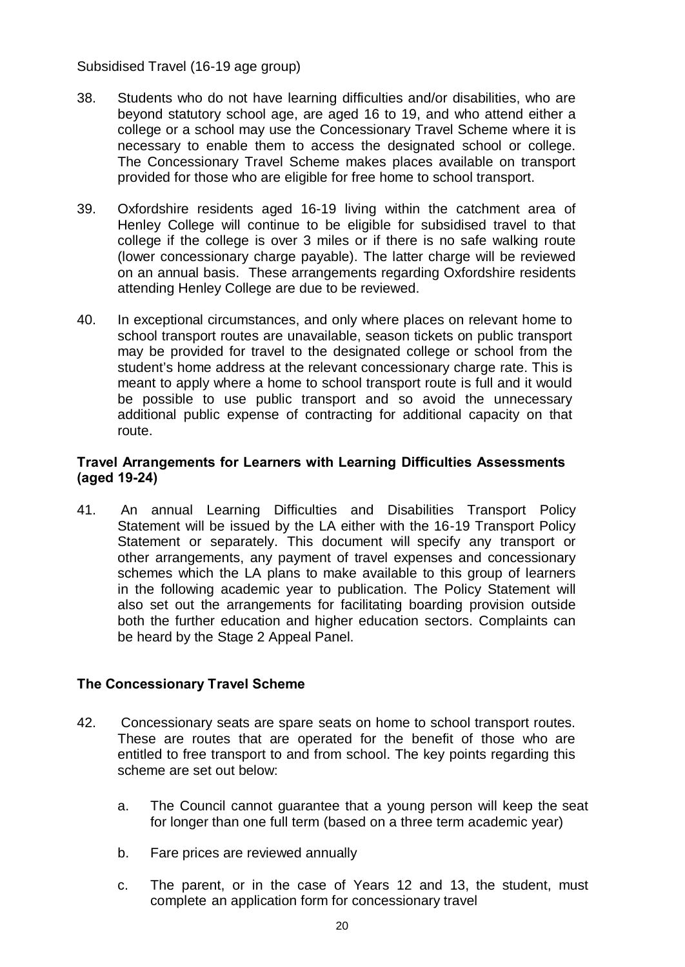Subsidised Travel (16-19 age group)

- 38. Students who do not have learning difficulties and/or disabilities, who are beyond statutory school age, are aged 16 to 19, and who attend either a college or a school may use the Concessionary Travel Scheme where it is necessary to enable them to access the designated school or college. The Concessionary Travel Scheme makes places available on transport provided for those who are eligible for free home to school transport.
- 39. Oxfordshire residents aged 16-19 living within the catchment area of Henley College will continue to be eligible for subsidised travel to that college if the college is over 3 miles or if there is no safe walking route (lower concessionary charge payable). The latter charge will be reviewed on an annual basis. These arrangements regarding Oxfordshire residents attending Henley College are due to be reviewed.
- 40. In exceptional circumstances, and only where places on relevant home to school transport routes are unavailable, season tickets on public transport may be provided for travel to the designated college or school from the student's home address at the relevant concessionary charge rate. This is meant to apply where a home to school transport route is full and it would be possible to use public transport and so avoid the unnecessary additional public expense of contracting for additional capacity on that route.

## **Travel Arrangements for Learners with Learning Difficulties Assessments (aged 19-24)**

41. An annual Learning Difficulties and Disabilities Transport Policy Statement will be issued by the LA either with the 16-19 Transport Policy Statement or separately. This document will specify any transport or other arrangements, any payment of travel expenses and concessionary schemes which the LA plans to make available to this group of learners in the following academic year to publication. The Policy Statement will also set out the arrangements for facilitating boarding provision outside both the further education and higher education sectors. Complaints can be heard by the Stage 2 Appeal Panel.

## **The Concessionary Travel Scheme**

- 42. Concessionary seats are spare seats on home to school transport routes. These are routes that are operated for the benefit of those who are entitled to free transport to and from school. The key points regarding this scheme are set out below:
	- a. The Council cannot guarantee that a young person will keep the seat for longer than one full term (based on a three term academic year)
	- b. Fare prices are reviewed annually
	- c. The parent, or in the case of Years 12 and 13, the student, must complete an application form for concessionary travel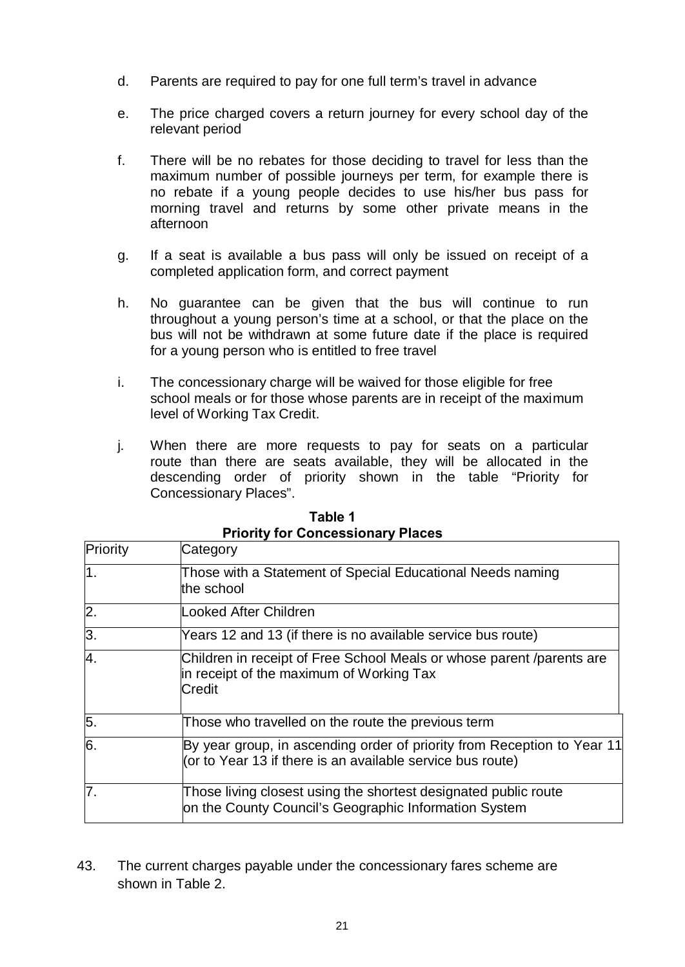- d. Parents are required to pay for one full term's travel in advance
- e. The price charged covers a return journey for every school day of the relevant period
- f. There will be no rebates for those deciding to travel for less than the maximum number of possible journeys per term, for example there is no rebate if a young people decides to use his/her bus pass for morning travel and returns by some other private means in the afternoon
- g. If a seat is available a bus pass will only be issued on receipt of a completed application form, and correct payment
- h. No guarantee can be given that the bus will continue to run throughout a young person's time at a school, or that the place on the bus will not be withdrawn at some future date if the place is required for a young person who is entitled to free travel
- i. The concessionary charge will be waived for those eligible for free school meals or for those whose parents are in receipt of the maximum level of Working Tax Credit.
- j. When there are more requests to pay for seats on a particular route than there are seats available, they will be allocated in the descending order of priority shown in the table "Priority for Concessionary Places".

| Priority         | Category                                                                                                                              |  |
|------------------|---------------------------------------------------------------------------------------------------------------------------------------|--|
| 1.               | Those with a Statement of Special Educational Needs naming<br>the school                                                              |  |
| $\mathsf{2}$ .   | <b>Looked After Children</b>                                                                                                          |  |
| $\overline{3}$ . | Years 12 and 13 (if there is no available service bus route)                                                                          |  |
| 4.               | Children in receipt of Free School Meals or whose parent /parents are<br>in receipt of the maximum of Working Tax<br>Credit           |  |
| 5.               | Those who travelled on the route the previous term                                                                                    |  |
| $\overline{6}$ . | By year group, in ascending order of priority from Reception to Year 11<br>(or to Year 13 if there is an available service bus route) |  |
| 7.               | Those living closest using the shortest designated public route<br>on the County Council's Geographic Information System              |  |

**Table 1 Priority for Concessionary Places**

43. The current charges payable under the concessionary fares scheme are shown in Table 2.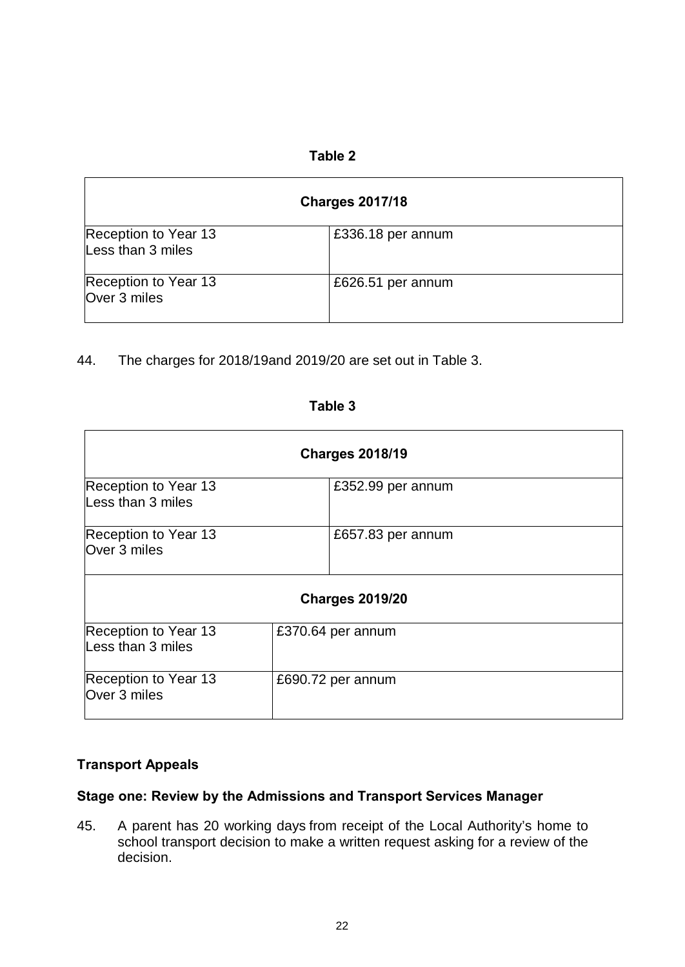### **Table 2**

| <b>Charges 2017/18</b>                    |                   |  |  |  |
|-------------------------------------------|-------------------|--|--|--|
| Reception to Year 13<br>Less than 3 miles | £336.18 per annum |  |  |  |
| Reception to Year 13<br>Over 3 miles      | £626.51 per annum |  |  |  |

44. The charges for 2018/19and 2019/20 are set out in Table 3.

#### **Table 3**

| <b>Charges 2018/19</b>                    |                   |  |  |  |  |
|-------------------------------------------|-------------------|--|--|--|--|
| Reception to Year 13<br>Less than 3 miles | £352.99 per annum |  |  |  |  |
| Reception to Year 13<br>Over 3 miles      | £657.83 per annum |  |  |  |  |
| <b>Charges 2019/20</b>                    |                   |  |  |  |  |
| Reception to Year 13<br>Less than 3 miles | £370.64 per annum |  |  |  |  |
| Reception to Year 13<br>Over 3 miles      | £690.72 per annum |  |  |  |  |

# **Transport Appeals**

# **Stage one: Review by the Admissions and Transport Services Manager**

45. A parent has 20 working days from receipt of the Local Authority's home to school transport decision to make a written request asking for a review of the decision.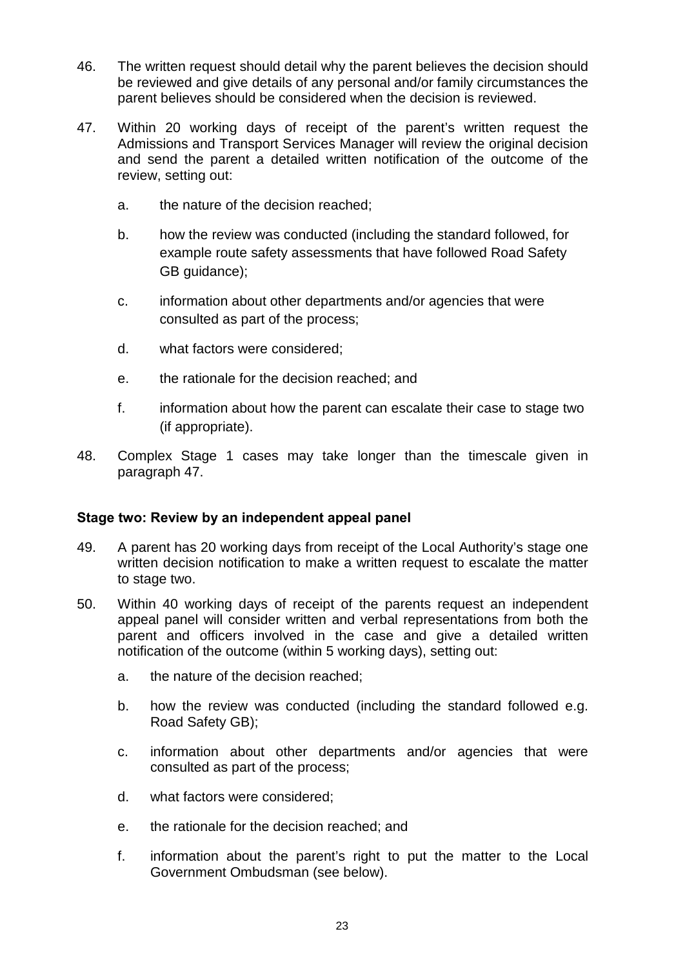- 46. The written request should detail why the parent believes the decision should be reviewed and give details of any personal and/or family circumstances the parent believes should be considered when the decision is reviewed.
- 47. Within 20 working days of receipt of the parent's written request the Admissions and Transport Services Manager will review the original decision and send the parent a detailed written notification of the outcome of the review, setting out:
	- a. the nature of the decision reached;
	- b. how the review was conducted (including the standard followed, for example route safety assessments that have followed Road Safety GB guidance);
	- c. information about other departments and/or agencies that were consulted as part of the process;
	- d. what factors were considered;
	- e. the rationale for the decision reached; and
	- f. information about how the parent can escalate their case to stage two (if appropriate).
- 48. Complex Stage 1 cases may take longer than the timescale given in paragraph 47.

### **Stage two: Review by an independent appeal panel**

- 49. A parent has 20 working days from receipt of the Local Authority's stage one written decision notification to make a written request to escalate the matter to stage two.
- 50. Within 40 working days of receipt of the parents request an independent appeal panel will consider written and verbal representations from both the parent and officers involved in the case and give a detailed written notification of the outcome (within 5 working days), setting out:
	- a. the nature of the decision reached;
	- b. how the review was conducted (including the standard followed e.g. Road Safety GB);
	- c. information about other departments and/or agencies that were consulted as part of the process;
	- d. what factors were considered;
	- e. the rationale for the decision reached; and
	- f. information about the parent's right to put the matter to the Local Government Ombudsman (see below).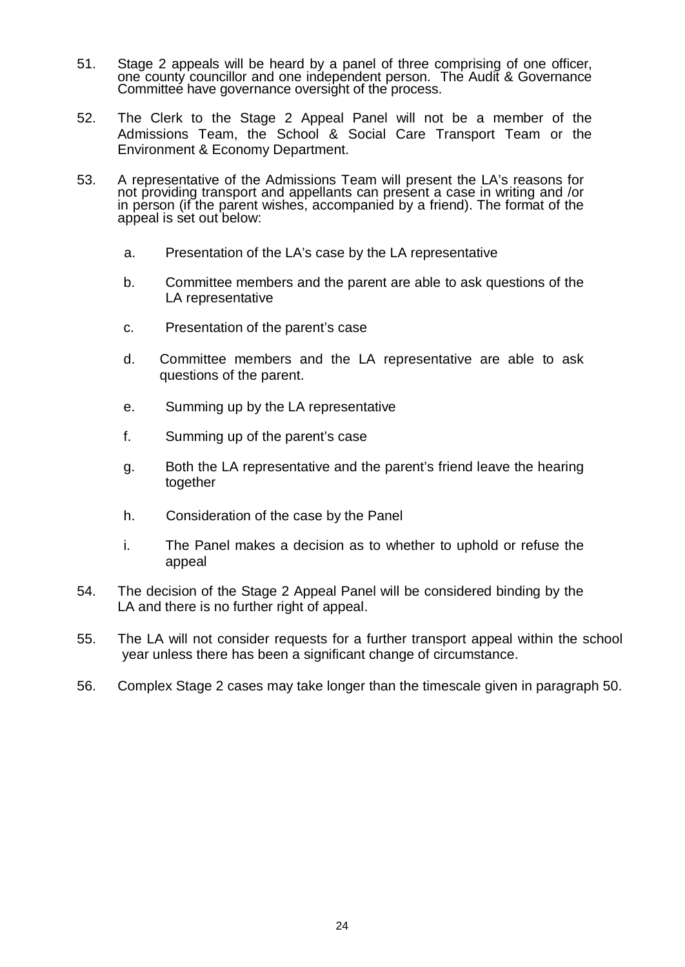- 51. Stage 2 appeals will be heard by a panel of three comprising of one officer, one county councillor and one independent person. The Audit & Governance Committee have governance oversight of the process.
- 52. The Clerk to the Stage 2 Appeal Panel will not be a member of the Admissions Team, the School & Social Care Transport Team or the Environment & Economy Department.
- 53. A representative of the Admissions Team will present the LA's reasons for not providing transport and appellants can present a case in writing and /or in person (if the parent wishes, accompanied by a friend). The format of the appeal is set out below:
	- a. Presentation of the LA's case by the LA representative
	- b. Committee members and the parent are able to ask questions of the LA representative
	- c. Presentation of the parent's case
	- d. Committee members and the LA representative are able to ask questions of the parent.
	- e. Summing up by the LA representative
	- f. Summing up of the parent's case
	- g. Both the LA representative and the parent's friend leave the hearing together
	- h. Consideration of the case by the Panel
	- i. The Panel makes a decision as to whether to uphold or refuse the appeal
- 54. The decision of the Stage 2 Appeal Panel will be considered binding by the LA and there is no further right of appeal.
- 55. The LA will not consider requests for a further transport appeal within the school year unless there has been a significant change of circumstance.
- 56. Complex Stage 2 cases may take longer than the timescale given in paragraph 50.